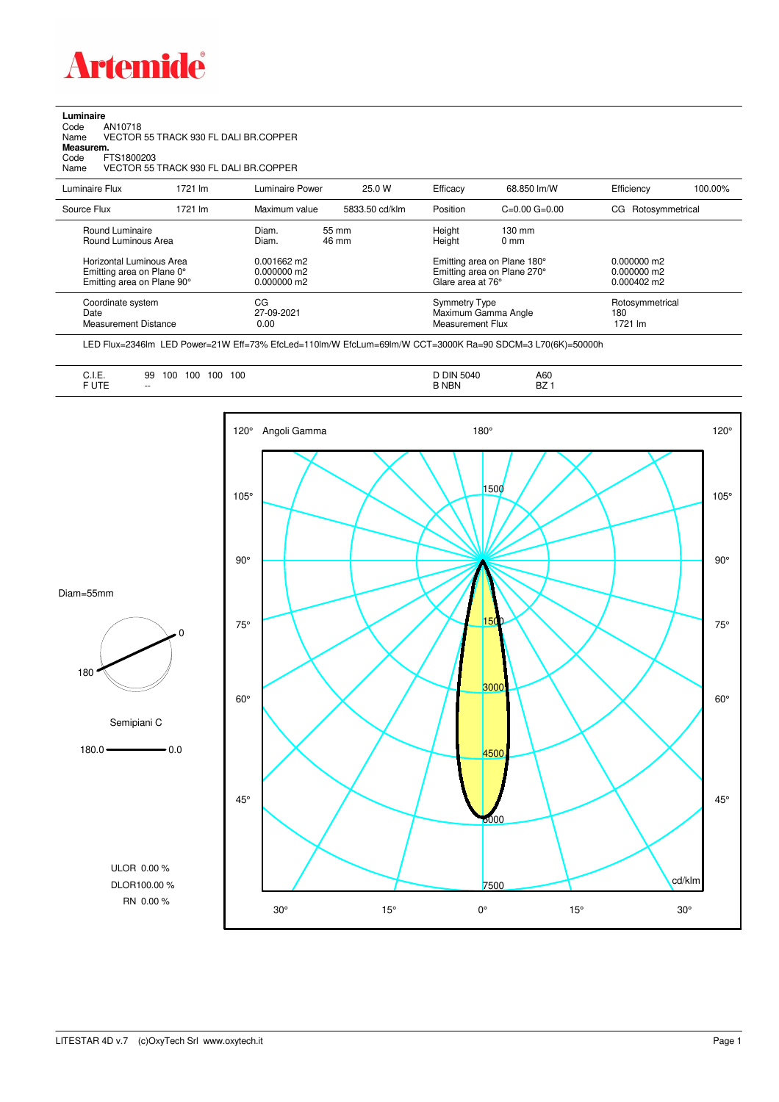

**Luminaire**<br>Code<br>Name Code AN10718 Name VECTOR 55 TRACK 930 FL DALI BR.COPPER

**Measurem.**

Code FTS1800203 Name VECTOR 55 TRACK 930 FL DALI BR.COPPER

| Luminaire Flux                                                                      | 1721 lm | Luminaire Power                                 | 25.0 W         | Efficacy         | 68.850 lm/W                                                                     | Efficiency                        | 100.00% |
|-------------------------------------------------------------------------------------|---------|-------------------------------------------------|----------------|------------------|---------------------------------------------------------------------------------|-----------------------------------|---------|
| Source Flux                                                                         | 1721 lm | Maximum value                                   | 5833.50 cd/klm | Position         | $C=0.00$ $G=0.00$                                                               | CG Rotosymmetrical                |         |
| Round Luminaire<br>Round Luminous Area                                              |         | Diam.<br>Diam.                                  | 55 mm<br>46 mm | Height<br>Height | $130 \text{ mm}$<br>$0 \text{ mm}$                                              |                                   |         |
| Horizontal Luminous Area<br>Emitting area on Plane 0°<br>Emitting area on Plane 90° |         | $0.001662$ m2<br>$0.000000$ m2<br>$0.000000$ m2 |                |                  | Emitting area on Plane 180°<br>Emitting area on Plane 270°<br>Glare area at 76° |                                   |         |
| Coordinate system<br>Date<br><b>Measurement Distance</b>                            |         | CG<br>27-09-2021<br>0.00                        |                |                  | <b>Symmetry Type</b><br>Maximum Gamma Angle<br>Measurement Flux                 | Rotosymmetrical<br>180<br>1721 lm |         |

LED Flux=2346lm LED Power=21W Eff=73% EfcLed=110lm/W EfcLum=69lm/W CCT=3000K Ra=90 SDCM=3 L70(6K)=50000h